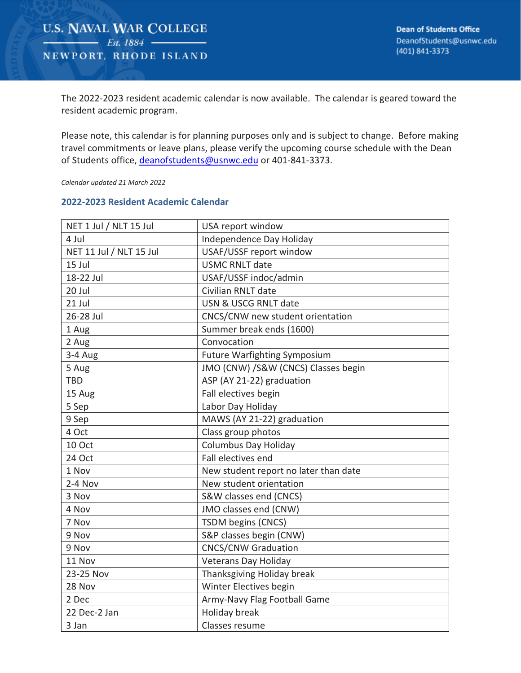The 2022-2023 resident academic calendar is now available. The calendar is geared toward the resident academic program.

Please note, this calendar is for planning purposes only and is subject to change. Before making travel commitments or leave plans, please verify the upcoming course schedule with the Dean of Students office, deanofstudents@usnwc.edu or 401-841-3373.

*Calendar updated 21 March 2022*

## **2022-2023 Resident Academic Calendar**

| NET 1 Jul / NLT 15 Jul  | USA report window                     |
|-------------------------|---------------------------------------|
| 4 Jul                   | Independence Day Holiday              |
| NET 11 Jul / NLT 15 Jul | USAF/USSF report window               |
| 15 Jul                  | <b>USMC RNLT date</b>                 |
| 18-22 Jul               | USAF/USSF indoc/admin                 |
| 20 Jul                  | Civilian RNLT date                    |
| 21 Jul                  | USN & USCG RNLT date                  |
| 26-28 Jul               | CNCS/CNW new student orientation      |
| 1 Aug                   | Summer break ends (1600)              |
| 2 Aug                   | Convocation                           |
| 3-4 Aug                 | <b>Future Warfighting Symposium</b>   |
| 5 Aug                   | JMO (CNW) /S&W (CNCS) Classes begin   |
| <b>TBD</b>              | ASP (AY 21-22) graduation             |
| 15 Aug                  | Fall electives begin                  |
| 5 Sep                   | Labor Day Holiday                     |
| 9 Sep                   | MAWS (AY 21-22) graduation            |
| 4 Oct                   | Class group photos                    |
| 10 Oct                  | <b>Columbus Day Holiday</b>           |
| 24 Oct                  | Fall electives end                    |
| 1 Nov                   | New student report no later than date |
| $2-4$ Nov               | New student orientation               |
| 3 Nov                   | S&W classes end (CNCS)                |
| 4 Nov                   | JMO classes end (CNW)                 |
| 7 Nov                   | TSDM begins (CNCS)                    |
| 9 Nov                   | S&P classes begin (CNW)               |
| 9 Nov                   | <b>CNCS/CNW Graduation</b>            |
| 11 Nov                  | <b>Veterans Day Holiday</b>           |
| 23-25 Nov               | Thanksgiving Holiday break            |
| 28 Nov                  | Winter Electives begin                |
| 2 Dec                   | Army-Navy Flag Football Game          |
| 22 Dec-2 Jan            | Holiday break                         |
| 3 Jan                   | Classes resume                        |